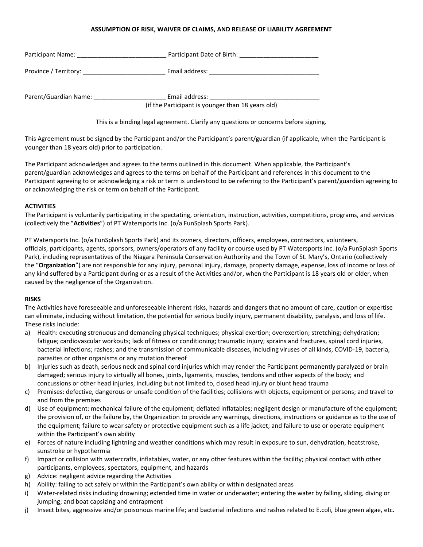### **ASSUMPTION OF RISK, WAIVER OF CLAIMS, AND RELEASE OF LIABILITY AGREEMENT**

| Participant Name:     | Participant Date of Birth: National Section 2014 |
|-----------------------|--------------------------------------------------|
| Province / Territory: | Email address:                                   |
| Parent/Guardian Name: | Email address:                                   |

(if the Participant is younger than 18 years old)

This is a binding legal agreement. Clarify any questions or concerns before signing.

This Agreement must be signed by the Participant and/or the Participant's parent/guardian (if applicable, when the Participant is younger than 18 years old) prior to participation.

The Participant acknowledges and agrees to the terms outlined in this document. When applicable, the Participant's parent/guardian acknowledges and agrees to the terms on behalf of the Participant and references in this document to the Participant agreeing to or acknowledging a risk or term is understood to be referring to the Participant's parent/guardian agreeing to or acknowledging the risk or term on behalf of the Participant.

### **ACTIVITIES**

The Participant is voluntarily participating in the spectating, orientation, instruction, activities, competitions, programs, and services (collectively the "**Activities**") of PT Watersports Inc. (o/a FunSplash Sports Park).

PT Watersports Inc. (o/a FunSplash Sports Park) and its owners, directors, officers, employees, contractors, volunteers, officials, participants, agents, sponsors, owners/operators of any facility or course used by PT Watersports Inc. (o/a FunSplash Sports Park), including representatives of the Niagara Peninsula Conservation Authority and the Town of St. Mary's, Ontario (collectively the "**Organization**") are not responsible for any injury, personal injury, damage, property damage, expense, loss of income or loss of any kind suffered by a Participant during or as a result of the Activities and/or, when the Participant is 18 years old or older, when caused by the negligence of the Organization.

#### **RISKS**

The Activities have foreseeable and unforeseeable inherent risks, hazards and dangers that no amount of care, caution or expertise can eliminate, including without limitation, the potential for serious bodily injury, permanent disability, paralysis, and loss of life. These risks include:

- a) Health: executing strenuous and demanding physical techniques; physical exertion; overexertion; stretching; dehydration; fatigue; cardiovascular workouts; lack of fitness or conditioning; traumatic injury; sprains and fractures, spinal cord injuries, bacterial infections; rashes; and the transmission of communicable diseases, including viruses of all kinds, COVID-19, bacteria, parasites or other organisms or any mutation thereof
- b) Injuries such as death, serious neck and spinal cord injuries which may render the Participant permanently paralyzed or brain damaged; serious injury to virtually all bones, joints, ligaments, muscles, tendons and other aspects of the body; and concussions or other head injuries, including but not limited to, closed head injury or blunt head trauma
- c) Premises: defective, dangerous or unsafe condition of the facilities; collisions with objects, equipment or persons; and travel to and from the premises
- d) Use of equipment: mechanical failure of the equipment; deflated inflatables; negligent design or manufacture of the equipment; the provision of, or the failure by, the Organization to provide any warnings, directions, instructions or guidance as to the use of the equipment; failure to wear safety or protective equipment such as a life jacket; and failure to use or operate equipment within the Participant's own ability
- e) Forces of nature including lightning and weather conditions which may result in exposure to sun, dehydration, heatstroke, sunstroke or hypothermia
- f) Impact or collision with watercrafts, inflatables, water, or any other features within the facility; physical contact with other participants, employees, spectators, equipment, and hazards
- g) Advice: negligent advice regarding the Activities
- h) Ability: failing to act safely or within the Participant's own ability or within designated areas
- i) Water-related risks including drowning; extended time in water or underwater; entering the water by falling, sliding, diving or jumping; and boat capsizing and entrapment
- j) Insect bites, aggressive and/or poisonous marine life; and bacterial infections and rashes related to E.coli, blue green algae, etc.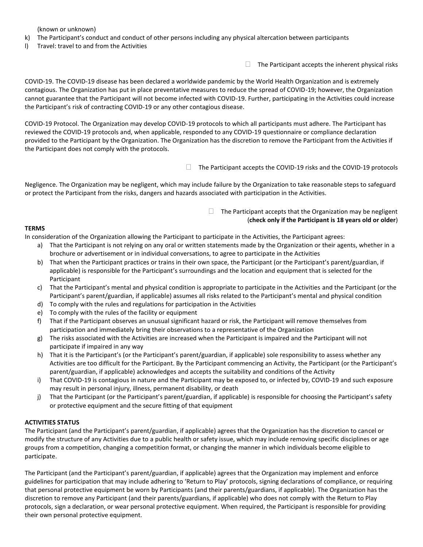(known or unknown)

- k) The Participant's conduct and conduct of other persons including any physical altercation between participants
- l) Travel: travel to and from the Activities

 $\Box$  The Participant accepts the inherent physical risks

COVID-19. The COVID-19 disease has been declared a worldwide pandemic by the World Health Organization and is extremely contagious. The Organization has put in place preventative measures to reduce the spread of COVID-19; however, the Organization cannot guarantee that the Participant will not become infected with COVID-19. Further, participating in the Activities could increase the Participant's risk of contracting COVID-19 or any other contagious disease.

COVID-19 Protocol. The Organization may develop COVID-19 protocols to which all participants must adhere. The Participant has reviewed the COVID-19 protocols and, when applicable, responded to any COVID-19 questionnaire or compliance declaration provided to the Participant by the Organization. The Organization has the discretion to remove the Participant from the Activities if the Participant does not comply with the protocols.

 $\Box$  The Participant accepts the COVID-19 risks and the COVID-19 protocols

Negligence. The Organization may be negligent, which may include failure by the Organization to take reasonable steps to safeguard or protect the Participant from the risks, dangers and hazards associated with participation in the Activities.

> $\Box$  The Participant accepts that the Organization may be negligent (**check only if the Participant is 18 years old or older**)

## **TERMS**

In consideration of the Organization allowing the Participant to participate in the Activities, the Participant agrees:

- a) That the Participant is not relying on any oral or written statements made by the Organization or their agents, whether in a brochure or advertisement or in individual conversations, to agree to participate in the Activities
- b) That when the Participant practices or trains in their own space, the Participant (or the Participant's parent/guardian, if applicable) is responsible for the Participant's surroundings and the location and equipment that is selected for the Participant
- c) That the Participant's mental and physical condition is appropriate to participate in the Activities and the Participant (or the Participant's parent/guardian, if applicable) assumes all risks related to the Participant's mental and physical condition
- d) To comply with the rules and regulations for participation in the Activities
- e) To comply with the rules of the facility or equipment
- f) That if the Participant observes an unusual significant hazard or risk, the Participant will remove themselves from participation and immediately bring their observations to a representative of the Organization
- g) The risks associated with the Activities are increased when the Participant is impaired and the Participant will not participate if impaired in any way
- h) That it is the Participant's (or the Participant's parent/guardian, if applicable) sole responsibility to assess whether any Activities are too difficult for the Participant. By the Participant commencing an Activity, the Participant (or the Participant's parent/guardian, if applicable) acknowledges and accepts the suitability and conditions of the Activity
- i) That COVID-19 is contagious in nature and the Participant may be exposed to, or infected by, COVID-19 and such exposure may result in personal injury, illness, permanent disability, or death
- j) That the Participant (or the Participant's parent/guardian, if applicable) is responsible for choosing the Participant's safety or protective equipment and the secure fitting of that equipment

# **ACTIVITIES STATUS**

The Participant (and the Participant's parent/guardian, if applicable) agrees that the Organization has the discretion to cancel or modify the structure of any Activities due to a public health or safety issue, which may include removing specific disciplines or age groups from a competition, changing a competition format, or changing the manner in which individuals become eligible to participate.

The Participant (and the Participant's parent/guardian, if applicable) agrees that the Organization may implement and enforce guidelines for participation that may include adhering to 'Return to Play' protocols, signing declarations of compliance, or requiring that personal protective equipment be worn by Participants (and their parents/guardians, if applicable). The Organization has the discretion to remove any Participant (and their parents/guardians, if applicable) who does not comply with the Return to Play protocols, sign a declaration, or wear personal protective equipment. When required, the Participant is responsible for providing their own personal protective equipment.